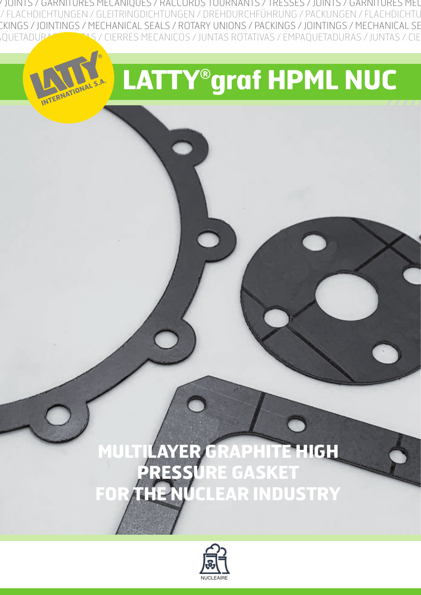INTS / TRESSES / JOINTS / GARNITURES MECANIQUES / RACCORDS TOURNANTS / TRESSES / JOINTS / GARNITURES MECANIQUES / RACCORDS TOURNANTS / FLACHDICHTUNGEN / GLEITRINGDICHTUNGEN / DREHDURCHFÜHRUNG / PACKUNGEN / FLACHDICHTU RY UNIONS / PACKINGS / JOINTINGS / MECHANICAL SEALS / ROTARY UNIONS / PACKINGS / JOINTINGS / MECHANICAL SEALS / ROTARY UNIONS / PACKINGS / OTATIVAS / EMPAQUETADURAS / JUNTAS / CIERRES MECANICOS / JUNTAS ROTATIVAS / EMPAQUETADURAS / JUNTAS / CIERRES MECANICOS / JUNTAS ROTATIV

NONAL S.A.

# **LATTY® graf HPML NUC**

## **MULTILAYER GRAPHITE HIGH PRESSURE GASKET FOR THE NUCLEAR INDUSTRY**